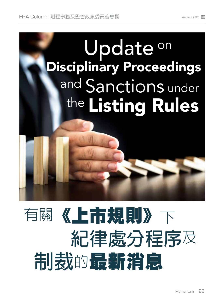

# 有關《上市規則》下 **紀律處分程序**<sup>及</sup>  **制裁**的最新消息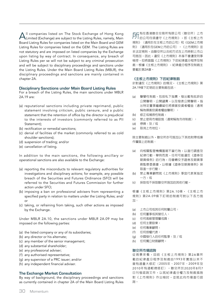All companies listed on The Stock Exchange of Hong Kong<br>Limited (Exchange) are subject to the Listing Rules, namely, Main Board Listing Rules for companies listed on the Main Board and GEM Listing Rules for companies listed on the GEM. The Listing Rules are not statutory and are imposed on listed companies by the Exchange upon listing by way of contract. In consequence, any breach of Listing Rules per se will not be subject to any criminal prosecution and will be subject to disciplinary proceedings and sanctions under the Listing Rules. Under the Main Board Listing Rules (MBLR), the disciplinary proceedings and sanctions are mainly contained in chapter 2A.

# **Disciplinary Sanctions under Main Board Listing Rules**

For a breach of the Listing Rules, the main sanctions under MBLR 2A.19 are:

- (a) reputational sanctions including private reprimand, public statement involving criticism, public censure, and a public statement that the retention of office by the director is prejudicial to the interests of investors (commonly referred to as PII Statement);
- (b) rectification or remedial sanctions;
- (c) denial of facilities of the market (commonly referred to as cold shoulder sanctions);
- (d) suspension of trading; and/or
- (e) cancellation of listing.

In addition to the main sanctions, the following ancillary or operational sanctions are also available to the Exchange:

- (a) reporting the misconducts to relevant regulatory authorities for investigations and disciplinary actions; for example, any possible breach of the Securities and Futures Ordinance (SFO) will be referred to the Securities and Futures Commission for further action under SFO;
- (b) imposing a ban on professional advisers from representing a specified party in relation to matters under the Listing Rules; and/ or
- (c) taking, or refraining from taking, such other actions as imposed by the Exchange.

Under MBLR 2A.10, the sanctions under MBLR 2A.09 may be imposed on the following parties:

- (a) the listed company or any of its subsidiaries;
- (b) any director or his alternate;
- (c) any member of the senior management;
- (d) any substantial shareholder;
- (e) any professional adviser;
- (f) any authorised representative;
- (g) any supervisor of a PRC issuer; and/or
- (h) any independent financial adviser.

# **The Exchange Market Consultation**

By way of background, the disciplinary proceedings and sanctions as currently contained in chapter 2A of the Main Board Listing Rules **厂厂**有在香港聯合交易所有限公司(聯交所)上市<br>ДД 的公司均須遵守《上市規則》,即《主板上市 規則》(適用於在主板上市的公司)和《GEM上市規 則》(適用於在GEM上市的公司)。《上市規則》並 非法定規則,由聯交所以合約方式在上市時對上市公 司施加。因此,違反《上市規則》本身不會遭受刑事 檢控,但將面臨《上市規則》下的紀律處分程序及制 裁。根據《主板上市規則》,紀律處分程序及制裁主 要載於第2A章。

#### **《主板上市規則》下的紀律制裁**

針對違反《上市規則》的情況,《主板上市規則》第 2A.19條下訂明的主要制裁包括:

- (a) 聲譽性制裁,包括私下指責、發出載有批評的 公開聲明、公開譴責,以及發表公開聲明,指 出特定董事繼續留任將損害投資者權益(通常 稱為損害投資者權益聲明);
- (b) 修正或補救性制裁;
- (c) 禁止使用市場設施(通常稱為冷待制裁);
- (d) 停牌;及/或
- (e) 取消上市地位。

除主要制裁以外,聯交所亦可施加以下其他附帶或操 作層面上的制裁:

- (a) 向相關監管機構匯報不當行為,以進行調查及 紀律行動;舉例而言,任何可能違反《證券及 期貨條例》的行為,均會轉交予證券及期貨事 務監察委員會,以根據《證券及期貨條例》採 取進一步行動;
- (b) 禁止專業顧問就《上市規則》事宜代表某指定 一方;或
- (c) 採取或不採取聯交所施加的其他行動。

根據《主板上市規則》第2A.10條,《主板上市 規則》第2A.09條下訂明的制裁可對以下各方施 加:

- (a) 上市公司或其任何附屬公司;
- (b) 任何董事或其替任人;
- (c) 任何高級管理層成員;
- (d) 任何主要股東;
- (e) 任何專業顧問;
- (f) 任何授權代表;
- (g) 中國發行人的任何監事;及/或
- (h) 任何獨立財務顧問。

#### **聯交所市場諮詢**

從背景來看,目前《主板上市規則》第2A章所 載的紀律處分程序及制裁自1993年實施以來不 曾有過重大修訂(2005年、2007年、2009年及 2010年有過輕微修訂)。聯交所於2020年8月7 日刊發諮詢文件,以就紀律處分權力及制裁措施 對《上市規則》作出檢討,並就此向市場進行諮 詢。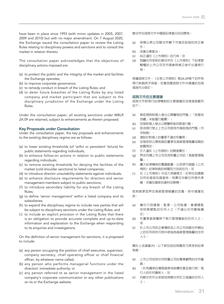have been in place since 1993 (with minor updates in 2005, 2007, 2009 and 2010) but with no major amendment. On 7 August 2020, the Exchange issued the consultation paper to review the Listing Rules relating to disciplinary powers and sanctions and to consult the market in relation thereto.

The consultation paper acknowledges that the objectives of disciplinary actions imposed are:

- (a) to protect the public and the integrity of the market and facilities the Exchange operates;
- (b) to improve corporate governance;
- (c) to remedy conduct in breach of the Listing Rules; and
- (d) to deter future breaches of the Listing Rules by any listed company and market participant that are subject to the disciplinary jurisdiction of the Exchange under the Listing Rules.

Under the consultation paper, all existing sanctions under MBLR 2A.09 are retained, subject to enhancements as therein proposed.

# **Key Proposals under Consultation**

Under the consultation paper, the key proposals and enhancements to the existing disciplinary regime are as follows:

- (a) to lower existing thresholds (of 'wilful or persistent' failure) for public statements regarding individuals;
- (b) to enhance follow-on actions in relation to public statements regarding individuals;
- (c) to remove existing thresholds for denying the facilities of the market (cold shoulder sanctions) to listed companies;
- (d) to introduce director unsuitability statements against individuals;
- (e) to enhance disclosure requirements for directors and senior management members subject to public sanctions;
- (f) to introduce secondary liability for any breach of the Listing Rules;
- (g) to define 'senior management' within a listed company and its subsidiaries;
- (h) to expand the disciplinary regime to include new parties that will be subject to disciplinary sanctions under the Listing Rules; and
- (i) to include an explicit provision in the Listing Rules that there is an obligation to provide accurate complete and up-to-date information and explanation to the Exchange when responding to its enquiries and investigations.

On the definition of senior management for sanctions, it is proposed to include:

- (a) any person occupying the position of chief executive, supervisor, company secretary, chief operating officer or chief financial officer, by whatever name called;
- (b) any person who performs managerial functions under the directors' immediate authority; or
- (c) any person referred to as senior management in the listed company's corporate communication or any other publications on its or the Exchange website.

聯交所在諮詢文件中確認紀律處分的目標為:

- (a) 保障公眾以及聯交所轄下市場及設施的持正操 作;
- (b) 改善企業管治;
- (c) 糾正違反《上市規則》的行為;及
- (d) 阻嚇任何受制於聯交所在《上市規則》下紀律管 轄權的上市公司及市場參與者日後作出違規行 為。

根據諮詢文件,《主板上市規則》第2A.09條下的所有 現行制裁將予保留,但會因應諮詢文件中建議的加強 措施作出修訂。

#### **諮詢文件的主要建議**

諮詢文件對現行紀律機制的主要建議及加強措施載列 如下:

- (a) 降低現時對個人發出公開聲明的門檻(「故意或 持續」未能履行職責);
- (b) 加強對個人發出公開聲明後的跟進行動;
- (c) 取消現行禁止上市公司使用市場設施的門檻(冷 待制裁);
- (d) 增設針對個人的董事不適合性聲明;
- (e) 加強受到公開制裁的董事及高級管理階層成員的 披露規定;
- (f) 引入違反《上市規則》的間接責任;
- (g) 界定何謂上市公司及其附屬公司的「高級管理階 層」;
- (h) 擴大紀律機制的覆蓋範圍,以把將可面臨《上市 規則》紀律制裁的相關各方包括在内;及
- (i) 在《上市規則》中加入明確條文,訂明在回應聯 交所的查詢及調查時,有責任向聯交所提供準 確、完備及最新的資料及解釋。

就制裁事宜界定高級管理階層的定義,其中建議包 括:

- (a) 擔任行政總裁、監事、公司秘書、營運總監 或財務總監的任何人士(不論以任何職稱擔 任);
- (b) 在董事直接權限下執行管理職能的任何人士; 或
- (c) 於上市公司的企業傳訊或上市公司或聯交所網站 上的任何其他刊物中被指為高級管理階層的任何 人士。

關於上述建議 (h),以下新包括的相關各方將受到紀律 制裁:

- (a) 上市公司或其任何附屬公司的專業顧問的任何僱 員;
- (b) (於有擔保的債務證券或結構性產品發行時)發 行人的任何擔保人;及
- (c) 向聯交所作出承諾或與聯交所訂立協議的任何人 士。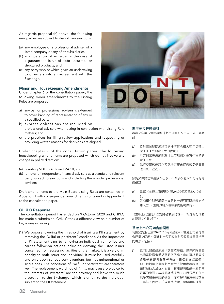As regards proposal (h) above, the following new parties are subject to disciplinary sanctions:

- (a) any employee of a professional adviser of a listed company or any of its subsidiaries;
- (b) any guarantor of an issuer in the case of a guaranteed issue of debt securities or structured products; and
- (c) any party who or which gives an undertaking to or enters into an agreement with the Exchange.

## **Minor and Housekeeping Amendments**

Under chapter 6 of the consultation paper, the following minor amendments to the Listing Rules are proposed:

- a) any ban on professional advisers is extended to cover banning of representation of any or a specified party;
- b) express obligations are included on professional advisers when acting in connection with Listing Rule matters; and
- c) the practices for filing review applications and requesting or providing written reasons for decisions are aligned.

Under chapter 7 of the consultation paper, the following housekeeping amendments are proposed which do not involve any change in policy direction:

- (a) rewriting MBLR 2A.09 and 2A.10; and
- (b) removal of independent financial advisers as a standalone relevant party subject to sanctions and including them under professional advisers.

Draft amendments to the Main Board Listing Rules are contained in Appendix I with consequential amendments contained in Appendix II to the consultation paper.

# **CHKLC Response**

The consultation period has ended on 9 October 2020 and CHKLC has made a submission. CHKLC took a different view on a number of key issues including:

(1) We oppose lowering the threshold of issuing a PII statement by removing the "wilful or persistent" conditions. As the imposition of PII statement aims to removing an individual from office and carries follow-on actions including denying the listed issuer concerned from accessing facilities of the market, it is a very grim penalty to both issuer and individual. It must be used carefully and only upon serious contraventions but not unintentional or single ones. The conditions of "wilful or persistent" are therefore key. The replacement wordings of "…… may cause prejudice to the interests of investors" are too arbitrary and leave too much discretion to the Exchange, which is unfair to the individual subject to the PII statement.



### **非主要及輕微修訂**

諮詢文件第六章建議對《上市規則》作出以下非主要修 訂:

- (a) 將對專業顧問所施加的任何禁令擴大至包括禁止 擔任任何或指定人士的代表;
- (b) 明文列出專業顧問就《上市規則》事宜行事時的 責任;及
- (c) 就提交覆核申請以及就決定要求提供或提供書面 理由統一做法。

諮詢文件第七章建議作出以下不牽涉改變政策方向的輕 微修訂:

- (a) 重寫《主板上市規則》第2A.09條及第2A.10條; 及
- (b) 取消獨立財務顧問自成另外一類可面臨制裁的相 關人士 ,並將其納入專業顧問的範圍內。

《主板上市規則》修訂擬稿載於附錄一,相應修訂則載 於諮詢文件附錄二。

#### **香港上巿公司商會的回應**

有關諮詢期已於2020年10月9日結束,香港上市公司商 會已提交回應。香港上巿公司商會對多個關鍵事項持不 同看法,包括:

(1) 我們反對透過取消「故意或持續」條件來降低發 出損害投資者權益聲明的門檻。由於實施損害投 資者權益聲明旨在解除個人職務並採取跟進行 動,包括禁止有關上市發行人使用市場設施,無 論對發行人及個人而言,有關聲明都是一項非常 嚴厲的懲罰,故必須謹慎採用,並且只用於在出 現多次嚴重違規的情況,而不是非蓄意違規或單 一事件。因此,「故意或持續」是關鍵的條件。